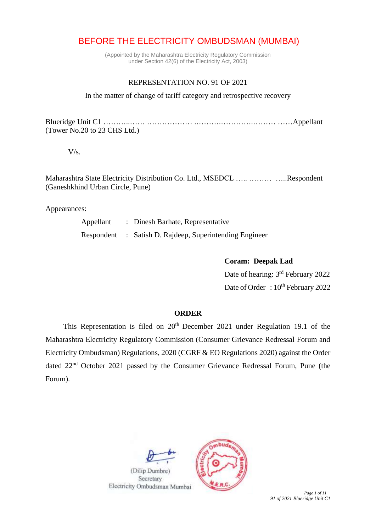# BEFORE THE ELECTRICITY OMBUDSMAN (MUMBAI)

(Appointed by the Maharashtra Electricity Regulatory Commission under Section 42(6) of the Electricity Act, 2003)

### REPRESENTATION NO. 91 OF 2021

In the matter of change of tariff category and retrospective recovery

Blueridge Unit C1 ………..…… ……………… .……….………….……… ……Appellant (Tower No.20 to 23 CHS Ltd.)

 $V/s$ .

Maharashtra State Electricity Distribution Co. Ltd., MSEDCL ….. ……… …..Respondent (Ganeshkhind Urban Circle, Pune)

Appearances:

| Appellant | : Dinesh Barhate, Representative                        |
|-----------|---------------------------------------------------------|
|           | Respondent : Satish D. Rajdeep, Superintending Engineer |

**Coram: Deepak Lad**

Date of hearing: 3<sup>rd</sup> February 2022 Date of Order : 10<sup>th</sup> February 2022

#### **ORDER**

This Representation is filed on 20<sup>th</sup> December 2021 under Regulation 19.1 of the Maharashtra Electricity Regulatory Commission (Consumer Grievance Redressal Forum and Electricity Ombudsman) Regulations, 2020 (CGRF & EO Regulations 2020) against the Order dated 22nd October 2021 passed by the Consumer Grievance Redressal Forum, Pune (the Forum).

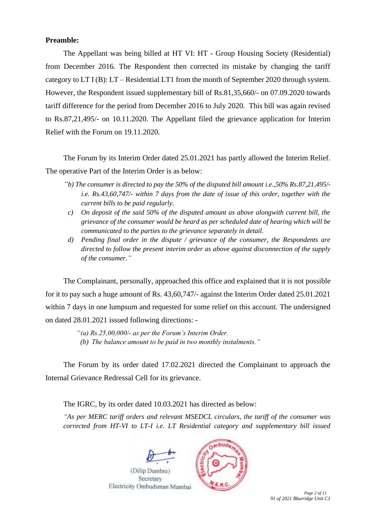## **Preamble:**

The Appellant was being billed at HT VI: HT - Group Housing Society (Residential) from December 2016. The Respondent then corrected its mistake by changing the tariff category to LT I (B): LT – Residential LT1 from the month of September 2020 through system. However, the Respondent issued supplementary bill of Rs.81,35,660/- on 07.09.2020 towards tariff difference for the period from December 2016 to July 2020. This bill was again revised to Rs.87,21,495/- on 10.11.2020. The Appellant filed the grievance application for Interim Relief with the Forum on 19.11.2020.

The Forum by its Interim Order dated 25.01.2021 has partly allowed the Interim Relief. The operative Part of the Interim Order is as below:

- *"b) The consumer is directed to pay the 50% of the disputed bill amount i.e.,50% Rs.87,21,495/ i.e. Rs.43,60,747/- within 7 days from the date of issue of this order, together with the current bills to be paid regularly.*
- *c) On deposit of the said 50% of the disputed amount as above alongwith current bill, the grievance of the consumer would be heard as per scheduled date of hearing which will be communicated to the parties to the grievance separately in detail.*
- *d) Pending final order in the dispute / grievance of the consumer, the Respondents are directed to follow the present interim order as above against disconnection of the supply of the consumer."*

The Complainant, personally, approached this office and explained that it is not possible for it to pay such a huge amount of Rs. 43,60,747/- against the Interim Order dated 25.01.2021 within 7 days in one lumpsum and requested for some relief on this account. The undersigned on dated 28.01.2021 issued following directions: -

*"(a) Rs.25,00,000/- as per the Forum's Interim Order.* 

*(b) The balance amount to be paid in two monthly instalments."* 

The Forum by its order dated 17.02.2021 directed the Complainant to approach the Internal Grievance Redressal Cell for its grievance.

The IGRC, by its order dated 10.03.2021 has directed as below:

*"As per MERC tariff orders and relevant MSEDCL circulars, the tariff of the consumer was corrected from HT-VI to LT-I i.e. LT Residential category and supplementary bill issued* 



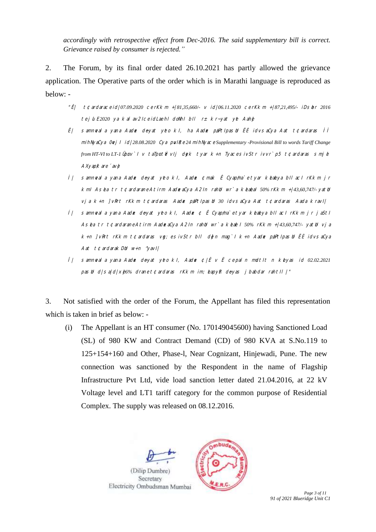*accordingly with retrospective effect from Dec-2016. The said supplementary bill is correct. Grievance raised by consumer is rejected."* 

2. The Forum, by its final order dated 26.10.2021 has partly allowed the grievance application. The Operative parts of the order which is in Marathi language is reproduced as below: -

- "Ê| t¢ardarace id|07.09.2020 cerKkm +|81,35,660/- v id|06.11.2020 cerKkm +|87,21,495/- iDsbr 2016 tej *u E2020* ya kalav2Ice idLaehI doNhI bII r± kr~yat yet Aahe
- Ë| samnwala yana Aadex deyat yeto kI, ha Aadex paPtIpasul ËÈ idvsaCya Aat t¢ardaras ÌÌ mihNyaCya 0evjI id|*28.08.2020* Cya puvIRce *24* mihNyace *Supplementary -Provisional Bill to words Tariff Change from HT-VI to LT-1 Üpuv`I v taTput\*e vij deyk tyar k+n TyacesivStr ivvr`p5 t¢ardaras smje  $A$ Xyap $K$ are  $a$ v $\phi$
- Ì| samnevala ya.na Aadex de~yat yeto kI, Aadex ¢ma.k Ê Cyap/ma`e tyar keLaeLya bIla.cI rKkm jr kmI Asea tr t¢ardarane A.tirm AadexaCya A2In rahu wr`a keaeal 50% rKkm +/43,60,747/-yatu vja k+n ]vR<sup>+</sup>t rKkm t¢ardaras Aadøx paPtIpasti 30 idvsaCya Aat t¢ardaras Aada kravI|
- í| samnwal a yana Aadex deyat yeto kI, Aadex ¢ Ê Cyapma`e tyar keaeya bilaci rKkm jr jaSti Asea tr t¢ardarane A.tirm Aad&aCya A2In rahbi wr`a keae I 50% rKkm +/43,60,747/- yatbi vja k+n ]vRirt rKkm t¢ardaras veg;e sivStr bIl de}n mag`I k+n Aadex p/aPtIpasUn ËÈ idvsaCya Aat  $t \text{C}$ ardarak D $t$  w+n  $\gamma$ avI|
- Î | samnwal a yana Aadex deyat yeto kI, Aadex ¢|Ê v Ë ce paln m**u**ltit n keyas id 02.02.2021 pas b d|sa|d|x $_{6\%}$  drane t¢ardaras rKkm im; eapyR deyas j babdar rahtIl |"

3. Not satisfied with the order of the Forum, the Appellant has filed this representation which is taken in brief as below: -

(i) The Appellant is an HT consumer (No. 170149045600) having Sanctioned Load (SL) of 980 KW and Contract Demand (CD) of 980 KVA at S.No.119 to 125+154+160 and Other, Phase-l, Near Cognizant, Hinjewadi, Pune. The new connection was sanctioned by the Respondent in the name of Flagship Infrastructure Pvt Ltd, vide load sanction letter dated 21.04.2016, at 22 kV Voltage level and LT1 tariff category for the common purpose of Residential Complex. The supply was released on 08.12.2016.



*91 of 2021 Blueridge Unit C1*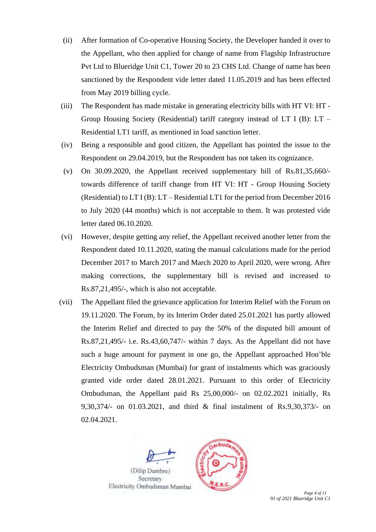- (ii) After formation of Co-operative Housing Society, the Developer handed it over to the Appellant, who then applied for change of name from Flagship Infrastructure Pvt Ltd to Blueridge Unit C1, Tower 20 to 23 CHS Ltd. Change of name has been sanctioned by the Respondent vide letter dated 11.05.2019 and has been effected from May 2019 billing cycle.
- (iii) The Respondent has made mistake in generating electricity bills with HT VI: HT Group Housing Society (Residential) tariff category instead of LT I (B): LT – Residential LT1 tariff, as mentioned in load sanction letter.
- (iv) Being a responsible and good citizen, the Appellant has pointed the issue to the Respondent on 29.04.2019, but the Respondent has not taken its cognizance.
- (v) On 30.09.2020, the Appellant received supplementary bill of Rs.81,35,660/ towards difference of tariff change from HT VI: HT - Group Housing Society (Residential) to LT I (B): LT – Residential LT1 for the period from December 2016 to July 2020 (44 months) which is not acceptable to them. It was protested vide letter dated 06.10.2020.
- (vi) However, despite getting any relief, the Appellant received another letter from the Respondent dated 10.11.2020, stating the manual calculations made for the period December 2017 to March 2017 and March 2020 to April 2020, were wrong. After making corrections, the supplementary bill is revised and increased to Rs.87,21,495/-, which is also not acceptable.
- (vii) The Appellant filed the grievance application for Interim Relief with the Forum on 19.11.2020. The Forum, by its Interim Order dated 25.01.2021 has partly allowed the Interim Relief and directed to pay the 50% of the disputed bill amount of Rs.87,21,495/- i.e. Rs.43,60,747/- within 7 days. As the Appellant did not have such a huge amount for payment in one go, the Appellant approached Hon'ble Electricity Ombudsman (Mumbai) for grant of instalments which was graciously granted vide order dated 28.01.2021. Pursuant to this order of Electricity Ombudsman, the Appellant paid Rs 25,00,000/- on 02.02.2021 initially, Rs 9,30,374/- on 01.03.2021, and third & final instalment of Rs.9,30,373/- on 02.04.2021.



*91 of 2021 Blueridge Unit C1*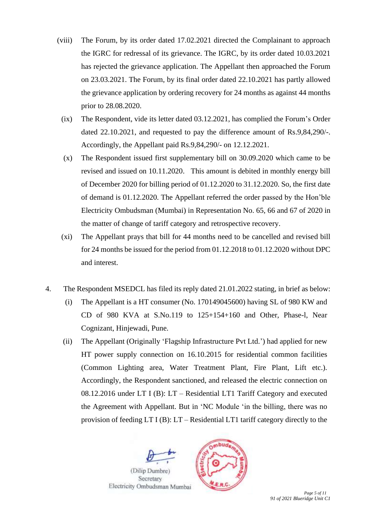- (viii) The Forum, by its order dated 17.02.2021 directed the Complainant to approach the IGRC for redressal of its grievance. The IGRC, by its order dated 10.03.2021 has rejected the grievance application. The Appellant then approached the Forum on 23.03.2021. The Forum, by its final order dated 22.10.2021 has partly allowed the grievance application by ordering recovery for 24 months as against 44 months prior to 28.08.2020.
	- (ix) The Respondent, vide its letter dated 03.12.2021, has complied the Forum's Order dated 22.10.2021, and requested to pay the difference amount of Rs.9,84,290/-. Accordingly, the Appellant paid Rs.9,84,290/- on 12.12.2021.
	- (x) The Respondent issued first supplementary bill on 30.09.2020 which came to be revised and issued on 10.11.2020. This amount is debited in monthly energy bill of December 2020 for billing period of 01.12.2020 to 31.12.2020. So, the first date of demand is 01.12.2020. The Appellant referred the order passed by the Hon'ble Electricity Ombudsman (Mumbai) in Representation No. 65, 66 and 67 of 2020 in the matter of change of tariff category and retrospective recovery.
	- (xi) The Appellant prays that bill for 44 months need to be cancelled and revised bill for 24 months be issued for the period from 01.12.2018 to 01.12.2020 without DPC and interest.
- 4. The Respondent MSEDCL has filed its reply dated 21.01.2022 stating, in brief as below:
	- (i) The Appellant is a HT consumer (No. 170149045600) having SL of 980 KW and CD of 980 KVA at S.No.119 to 125+154+160 and Other, Phase-l, Near Cognizant, Hinjewadi, Pune.
	- (ii) The Appellant (Originally 'Flagship Infrastructure Pvt Ltd.') had applied for new HT power supply connection on 16.10.2015 for residential common facilities (Common Lighting area, Water Treatment Plant, Fire Plant, Lift etc.). Accordingly, the Respondent sanctioned, and released the electric connection on 08.12.2016 under LT I (B): LT – Residential LT1 Tariff Category and executed the Agreement with Appellant. But in 'NC Module 'in the billing, there was no provision of feeding LT I (B): LT – Residential LT1 tariff category directly to the

bud.

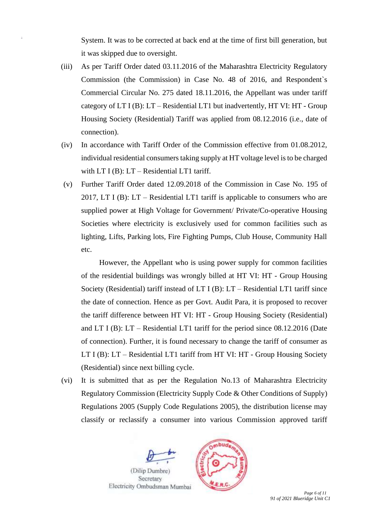System. It was to be corrected at back end at the time of first bill generation, but it was skipped due to oversight.

- (iii) As per Tariff Order dated 03.11.2016 of the Maharashtra Electricity Regulatory Commission (the Commission) in Case No. 48 of 2016, and Respondent`s Commercial Circular No. 275 dated 18.11.2016, the Appellant was under tariff category of  $LT I (B)$ :  $LT - Residental LT1$  but inadvertently,  $HT VI$ :  $HT - Group$ Housing Society (Residential) Tariff was applied from 08.12.2016 (i.e., date of connection).
- (iv) In accordance with Tariff Order of the Commission effective from 01.08.2012, individual residential consumers taking supply at HT voltage level is to be charged with LT I (B): LT – Residential LT1 tariff.
- (v) Further Tariff Order dated 12.09.2018 of the Commission in Case No. 195 of 2017, LT I (B): LT – Residential LT1 tariff is applicable to consumers who are supplied power at High Voltage for Government/ Private/Co-operative Housing Societies where electricity is exclusively used for common facilities such as lighting, Lifts, Parking lots, Fire Fighting Pumps, Club House, Community Hall etc.

However, the Appellant who is using power supply for common facilities of the residential buildings was wrongly billed at HT VI: HT - Group Housing Society (Residential) tariff instead of LT I (B): LT – Residential LT1 tariff since the date of connection. Hence as per Govt. Audit Para, it is proposed to recover the tariff difference between HT VI: HT - Group Housing Society (Residential) and LT I (B): LT – Residential LT1 tariff for the period since 08.12.2016 (Date of connection). Further, it is found necessary to change the tariff of consumer as LT I (B): LT – Residential LT1 tariff from HT VI: HT - Group Housing Society (Residential) since next billing cycle.

(vi) It is submitted that as per the Regulation No.13 of Maharashtra Electricity Regulatory Commission (Electricity Supply Code & Other Conditions of Supply) Regulations 2005 (Supply Code Regulations 2005), the distribution license may classify or reclassify a consumer into various Commission approved tariff





 *Page 6 of 11 91 of 2021 Blueridge Unit C1*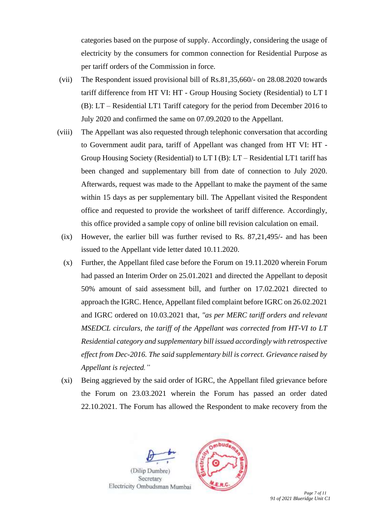categories based on the purpose of supply. Accordingly, considering the usage of electricity by the consumers for common connection for Residential Purpose as per tariff orders of the Commission in force.

- (vii) The Respondent issued provisional bill of Rs.81,35,660/- on 28.08.2020 towards tariff difference from HT VI: HT - Group Housing Society (Residential) to LT I (B): LT – Residential LT1 Tariff category for the period from December 2016 to July 2020 and confirmed the same on 07.09.2020 to the Appellant.
- (viii) The Appellant was also requested through telephonic conversation that according to Government audit para, tariff of Appellant was changed from HT VI: HT - Group Housing Society (Residential) to LT I (B): LT – Residential LT1 tariff has been changed and supplementary bill from date of connection to July 2020. Afterwards, request was made to the Appellant to make the payment of the same within 15 days as per supplementary bill. The Appellant visited the Respondent office and requested to provide the worksheet of tariff difference. Accordingly, this office provided a sample copy of online bill revision calculation on email.
	- (ix) However, the earlier bill was further revised to Rs. 87,21,495/- and has been issued to the Appellant vide letter dated 10.11.2020.
	- (x) Further, the Appellant filed case before the Forum on 19.11.2020 wherein Forum had passed an Interim Order on 25.01.2021 and directed the Appellant to deposit 50% amount of said assessment bill, and further on 17.02.2021 directed to approach the IGRC. Hence, Appellant filed complaint before IGRC on 26.02.2021 and IGRC ordered on 10.03.2021 that, *"as per MERC tariff orders and relevant MSEDCL circulars, the tariff of the Appellant was corrected from HT-VI to LT Residential category and supplementary bill issued accordingly with retrospective effect from Dec-2016. The said supplementary bill is correct. Grievance raised by Appellant is rejected."*
	- (xi) Being aggrieved by the said order of IGRC, the Appellant filed grievance before the Forum on 23.03.2021 wherein the Forum has passed an order dated 22.10.2021. The Forum has allowed the Respondent to make recovery from the

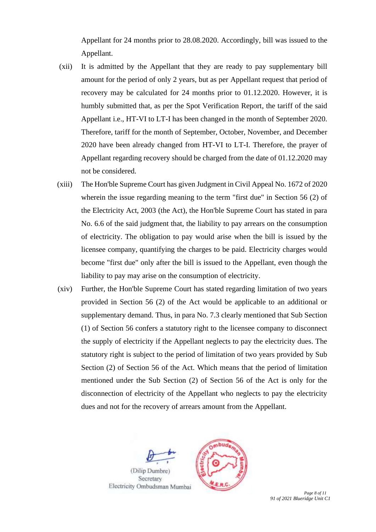Appellant for 24 months prior to 28.08.2020. Accordingly, bill was issued to the Appellant.

- (xii) It is admitted by the Appellant that they are ready to pay supplementary bill amount for the period of only 2 years, but as per Appellant request that period of recovery may be calculated for 24 months prior to 01.12.2020. However, it is humbly submitted that, as per the Spot Verification Report, the tariff of the said Appellant i.e., HT-VI to LT-I has been changed in the month of September 2020. Therefore, tariff for the month of September, October, November, and December 2020 have been already changed from HT-VI to LT-I. Therefore, the prayer of Appellant regarding recovery should be charged from the date of 01.12.2020 may not be considered.
- (xiii) The Hon'ble Supreme Court has given Judgment in Civil Appeal No. 1672 of 2020 wherein the issue regarding meaning to the term "first due" in Section 56 (2) of the Electricity Act, 2003 (the Act), the Hon'ble Supreme Court has stated in para No. 6.6 of the said judgment that, the liability to pay arrears on the consumption of electricity. The obligation to pay would arise when the bill is issued by the licensee company, quantifying the charges to be paid. Electricity charges would become "first due" only after the bill is issued to the Appellant, even though the liability to pay may arise on the consumption of electricity.
- (xiv) Further, the Hon'ble Supreme Court has stated regarding limitation of two years provided in Section 56 (2) of the Act would be applicable to an additional or supplementary demand. Thus, in para No. 7.3 clearly mentioned that Sub Section (1) of Section 56 confers a statutory right to the licensee company to disconnect the supply of electricity if the Appellant neglects to pay the electricity dues. The statutory right is subject to the period of limitation of two years provided by Sub Section (2) of Section 56 of the Act. Which means that the period of limitation mentioned under the Sub Section (2) of Section 56 of the Act is only for the disconnection of electricity of the Appellant who neglects to pay the electricity dues and not for the recovery of arrears amount from the Appellant.



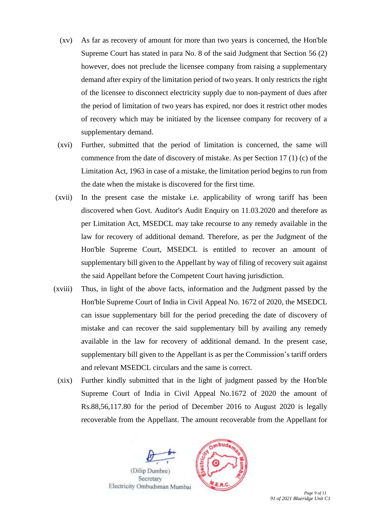- (xv) As far as recovery of amount for more than two years is concerned, the Hon'ble Supreme Court has stated in para No. 8 of the said Judgment that Section 56 (2) however, does not preclude the licensee company from raising a supplementary demand after expiry of the limitation period of two years. It only restricts the right of the licensee to disconnect electricity supply due to non-payment of dues after the period of limitation of two years has expired, nor does it restrict other modes of recovery which may be initiated by the licensee company for recovery of a supplementary demand.
- (xvi) Further, submitted that the period of limitation is concerned, the same will commence from the date of discovery of mistake. As per Section 17 (1) (c) of the Limitation Act, 1963 in case of a mistake, the limitation period begins to run from the date when the mistake is discovered for the first time.
- (xvii) In the present case the mistake i.e. applicability of wrong tariff has been discovered when Govt. Auditor's Audit Enquiry on 11.03.2020 and therefore as per Limitation Act, MSEDCL may take recourse to any remedy available in the law for recovery of additional demand. Therefore, as per the Judgment of the Hon'ble Supreme Court, MSEDCL is entitled to recover an amount of supplementary bill given to the Appellant by way of filing of recovery suit against the said Appellant before the Competent Court having jurisdiction.
- (xviii) Thus, in light of the above facts, information and the Judgment passed by the Hon'ble Supreme Court of India in Civil Appeal No. 1672 of 2020, the MSEDCL can issue supplementary bill for the period preceding the date of discovery of mistake and can recover the said supplementary bill by availing any remedy available in the law for recovery of additional demand. In the present case, supplementary bill given to the Appellant is as per the Commission's tariff orders and relevant MSEDCL circulars and the same is correct.
- (xix) Further kindly submitted that in the light of judgment passed by the Hon'ble Supreme Court of India in Civil Appeal No.1672 of 2020 the amount of Rs.88,56,117.80 for the period of December 2016 to August 2020 is legally recoverable from the Appellant. The amount recoverable from the Appellant for

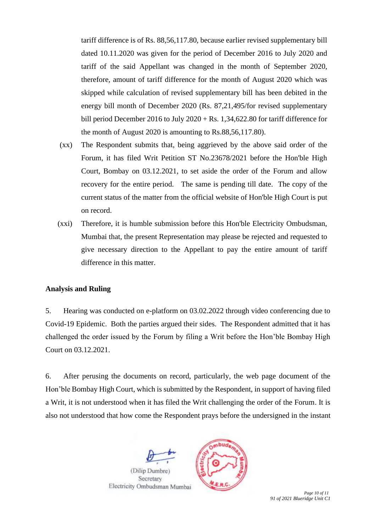tariff difference is of Rs. 88,56,117.80, because earlier revised supplementary bill dated 10.11.2020 was given for the period of December 2016 to July 2020 and tariff of the said Appellant was changed in the month of September 2020, therefore, amount of tariff difference for the month of August 2020 which was skipped while calculation of revised supplementary bill has been debited in the energy bill month of December 2020 (Rs. 87,21,495/for revised supplementary bill period December 2016 to July 2020 + Rs. 1,34,622.80 for tariff difference for the month of August 2020 is amounting to Rs.88,56,117.80).

- (xx) The Respondent submits that, being aggrieved by the above said order of the Forum, it has filed Writ Petition ST No.23678/2021 before the Hon'ble High Court, Bombay on 03.12.2021, to set aside the order of the Forum and allow recovery for the entire period. The same is pending till date. The copy of the current status of the matter from the official website of Hon'ble High Court is put on record.
- (xxi) Therefore, it is humble submission before this Hon'ble Electricity Ombudsman, Mumbai that, the present Representation may please be rejected and requested to give necessary direction to the Appellant to pay the entire amount of tariff difference in this matter.

#### **Analysis and Ruling**

5. Hearing was conducted on e-platform on 03.02.2022 through video conferencing due to Covid-19 Epidemic. Both the parties argued their sides. The Respondent admitted that it has challenged the order issued by the Forum by filing a Writ before the Hon'ble Bombay High Court on 03.12.2021.

6. After perusing the documents on record, particularly, the web page document of the Hon'ble Bombay High Court, which is submitted by the Respondent, in support of having filed a Writ, it is not understood when it has filed the Writ challenging the order of the Forum. It is also not understood that how come the Respondent prays before the undersigned in the instant